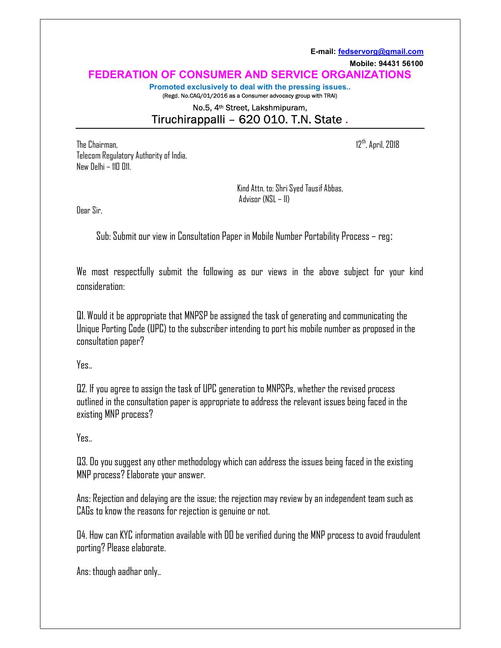E-mail: fedservorg@gmail.com Mobile: 94431 56100 FEDERATION OF CONSUMER AND SERVICE ORGANIZATIONS Promoted exclusively to deal with the pressing issues..

(Regd. No.CAG/01/2016 as a Consumer advocacy group with TRAI)

## No.5, 4th Street, Lakshmipuram, Tiruchirappalli – 620 010. T.N. State .

The Chairman,  $12^{th}$ , April, 2018 Telecom Regulatory Authority of India, New Delhi – 110 011.

 Kind Attn. to: Shri Syed Tausif Abbas, Advisor (NSL – II)

Dear Sir,

Sub: Submit our view in Consultation Paper in Mobile Number Portability Process – reg:

We most respectfully submit the following as our views in the above subject for your kind consideration:

Q1. Would it be appropriate that MNPSP be assigned the task of generating and communicating the Unique Porting Code (UPC) to the subscriber intending to port his mobile number as proposed in the consultation paper?

Yes..

Q2. If you agree to assign the task of UPC generation to MNPSPs, whether the revised process outlined in the consultation paper is appropriate to address the relevant issues being faced in the existing MNP process?

## Yes..

Q3. Do you suggest any other methodology which can address the issues being faced in the existing MNP process? Elaborate your answer.

Ans: Rejection and delaying are the issue; the rejection may review by an independent team such as CAGs to know the reasons for rejection is genuine or not.

04. How can KYC information available with DO be verified during the MNP process to avoid fraudulent porting? Please elaborate.

Ans: though aadhar only..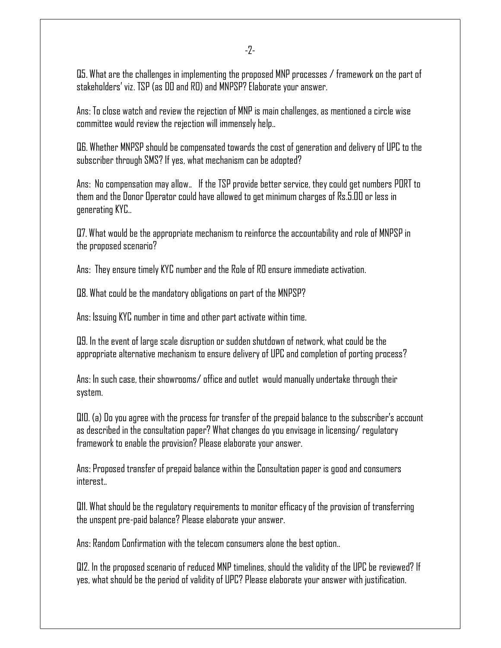-2-

Q5. What are the challenges in implementing the proposed MNP processes / framework on the part of stakeholders' viz. TSP (as DO and RO) and MNPSP? Elaborate your answer.

Ans: To close watch and review the rejection of MNP is main challenges, as mentioned a circle wise committee would review the rejection will immensely help..

Q6. Whether MNPSP should be compensated towards the cost of generation and delivery of UPC to the subscriber through SMS? If yes, what mechanism can be adopted?

Ans: No compensation may allow.. If the TSP provide better service, they could get numbers PORT to them and the Donor Operator could have allowed to get minimum charges of Rs.5.00 or less in generating KYC..

Q7. What would be the appropriate mechanism to reinforce the accountability and role of MNPSP in the proposed scenario?

Ans: They ensure timely KYC number and the Role of RO ensure immediate activation.

Q8. What could be the mandatory obligations on part of the MNPSP?

Ans: Issuing KYC number in time and other part activate within time.

Q9. In the event of large scale disruption or sudden shutdown of network, what could be the appropriate alternative mechanism to ensure delivery of UPC and completion of porting process?

Ans: In such case, their showrooms/ office and outlet would manually undertake through their system.

Q10. (a) Do you agree with the process for transfer of the prepaid balance to the subscriber's account as described in the consultation paper? What changes do you envisage in licensing/ regulatory framework to enable the provision? Please elaborate your answer.

Ans: Proposed transfer of prepaid balance within the Consultation paper is good and consumers interest..

Q11. What should be the regulatory requirements to monitor efficacy of the provision of transferring the unspent pre-paid balance? Please elaborate your answer.

Ans: Random Confirmation with the telecom consumers alone the best option..

Q12. In the proposed scenario of reduced MNP timelines, should the validity of the UPC be reviewed? If yes, what should be the period of validity of UPC? Please elaborate your answer with justification.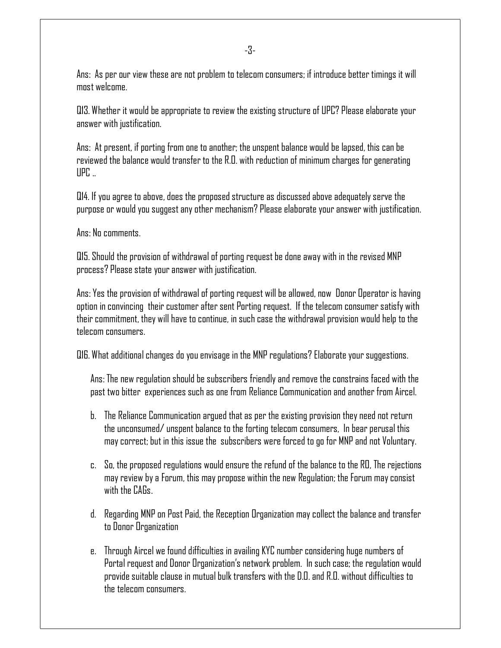-3-

Ans: As per our view these are not problem to telecom consumers; if introduce better timings it will most welcome.

Q13. Whether it would be appropriate to review the existing structure of UPC? Please elaborate your answer with justification.

Ans: At present, if porting from one to another; the unspent balance would be lapsed, this can be reviewed the balance would transfer to the R.O. with reduction of minimum charges for generating  $UPC...$ 

Q14. If you agree to above, does the proposed structure as discussed above adequately serve the purpose or would you suggest any other mechanism? Please elaborate your answer with justification.

Ans: No comments.

Q15. Should the provision of withdrawal of porting request be done away with in the revised MNP process? Please state your answer with justification.

Ans: Yes the provision of withdrawal of porting request will be allowed, now Donor Operator is having option in convincing their customer after sent Porting request. If the telecom consumer satisfy with their commitment, they will have to continue, in such case the withdrawal provision would help to the telecom consumers.

Q16. What additional changes do you envisage in the MNP regulations? Elaborate your suggestions.

Ans: The new regulation should be subscribers friendly and remove the constrains faced with the past two bitter experiences such as one from Reliance Communication and another from Aircel.

- b. The Reliance Communication argued that as per the existing provision they need not return the unconsumed/ unspent balance to the forting telecom consumers, In bear perusal this may correct; but in this issue the subscribers were forced to go for MNP and not Voluntary.
- c. So, the proposed regulations would ensure the refund of the balance to the RO, The rejections may review by a Forum, this may propose within the new Regulation; the Forum may consist with the CAGs.
- d. Regarding MNP on Post Paid, the Reception Organization may collect the balance and transfer to Donor Organization
- e. Through Aircel we found difficulties in availing KYC number considering huge numbers of Portal request and Donor Organization's network problem. In such case; the regulation would provide suitable clause in mutual bulk transfers with the D.O. and R.O. without difficulties to the telecom consumers.